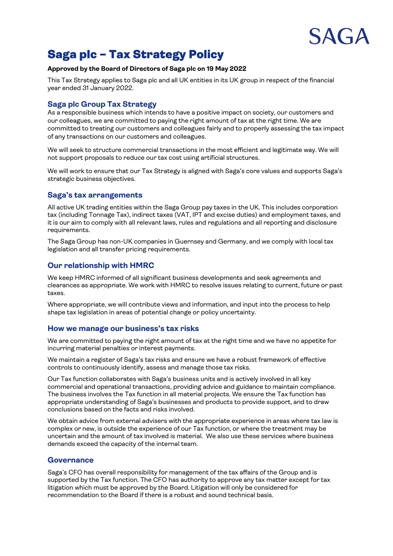

# Saga plc – Tax Strategy Policy

### **Approved by the Board of Directors of Saga plc on 19 May 2022**

This Tax Strategy applies to Saga plc and all UK entities in its UK group in respect of the financial year ended 31 January 2022.

# **Saga plc Group Tax Strategy**

As a responsible business which intends to have a positive impact on society, our customers and our colleagues, we are committed to paying the right amount of tax at the right time. We are committed to treating our customers and colleagues fairly and to properly assessing the tax impact of any transactions on our customers and colleagues.

We will seek to structure commercial transactions in the most efficient and legitimate way. We will not support proposals to reduce our tax cost using artificial structures.

We will work to ensure that our Tax Strategy is aligned with Saga's core values and supports Saga's strategic business objectives.

#### **Saga's tax arrangements**

All active UK trading entities within the Saga Group pay taxes in the UK. This includes corporation tax (including Tonnage Tax), indirect taxes (VAT, IPT and excise duties) and employment taxes, and it is our aim to comply with all relevant laws, rules and regulations and all reporting and disclosure requirements.

The Saga Group has non-UK companies in Guernsey and Germany, and we comply with local tax legislation and all transfer pricing requirements.

# **Our relationship with HMRC**

We keep HMRC informed of all significant business developments and seek agreements and clearances as appropriate. We work with HMRC to resolve issues relating to current, future or past taxes.

Where appropriate, we will contribute views and information, and input into the process to help shape tax legislation in areas of potential change or policy uncertainty.

### **How we manage our business's tax risks**

We are committed to paying the right amount of tax at the right time and we have no appetite for incurring material penalties or interest payments.

We maintain a register of Saga's tax risks and ensure we have a robust framework of effective controls to continuously identify, assess and manage those tax risks.

Our Tax function collaborates with Saga's business units and is actively involved in all key commercial and operational transactions, providing advice and guidance to maintain compliance. The business involves the Tax function in all material projects. We ensure the Tax function has appropriate understanding of Saga's businesses and products to provide support, and to draw conclusions based on the facts and risks involved.

We obtain advice from external advisers with the appropriate experience in areas where tax law is complex or new, is outside the experience of our Tax function, or where the treatment may be uncertain and the amount of tax involved is material. We also use these services where business demands exceed the capacity of the internal team.

### **Governance**

Saga's CFO has overall responsibility for management of the tax affairs of the Group and is supported by the Tax function. The CFO has authority to approve any tax matter except for tax litigation which must be approved by the Board. Litigation will only be considered for recommendation to the Board if there is a robust and sound technical basis.